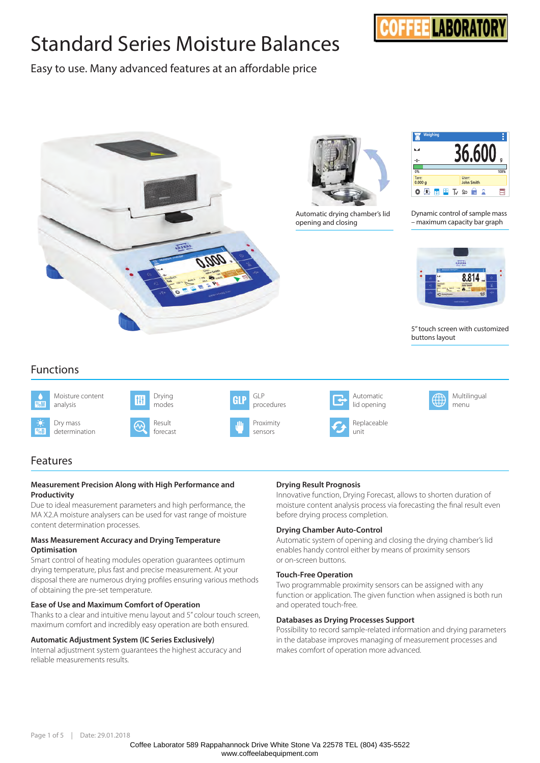# Standard Series Moisture Balances



Easy to use. Many advanced features at an affordable price



# Features

#### **Measurement Precision Along with High Performance and Productivity**

Due to ideal measurement parameters and high performance, the MA X2.A moisture analysers can be used for vast range of moisture content determination processes.

#### **Mass Measurement Accuracy and Drying Temperature Optimisation**

Smart control of heating modules operation guarantees optimum drying temperature, plus fast and precise measurement. At your disposal there are numerous drying profiles ensuring various methods of obtaining the pre-set temperature.

#### **Ease of Use and Maximum Comfort of Operation**

Thanks to a clear and intuitive menu layout and 5" colour touch screen, maximum comfort and incredibly easy operation are both ensured.

#### **Automatic Adjustment System (IC Series Exclusively)**

Internal adjustment system guarantees the highest accuracy and reliable measurements results.

#### **Drying Result Prognosis**

Innovative function, Drying Forecast, allows to shorten duration of moisture content analysis process via forecasting the final result even before drying process completion.

#### **Drying Chamber Auto-Control**

Automatic system of opening and closing the drying chamber's lid enables handy control either by means of proximity sensors or on-screen buttons.

#### **Touch-Free Operation**

Two programmable proximity sensors can be assigned with any function or application. The given function when assigned is both run and operated touch-free.

#### **Databases as Drying Processes Support**

Possibility to record sample-related information and drying parameters in the database improves managing of measurement processes and makes comfort of operation more advanced.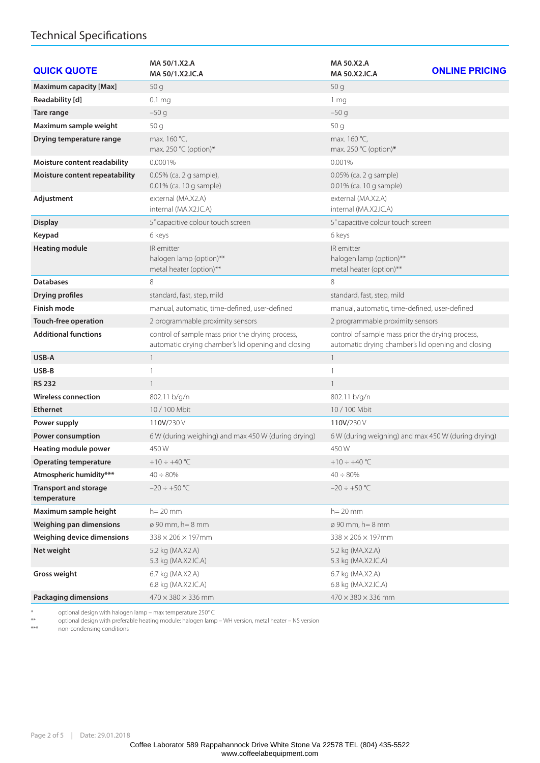# Technical Specifications

| <b>QUICK QUOTE</b>                          | MA 50/1.X2.A<br>MA 50/1.X2.IC.A                                                                        | MA 50.X2.A<br><b>ONLINE PRICING</b><br><b>MA 50.X2.IC.A</b>                                            |
|---------------------------------------------|--------------------------------------------------------------------------------------------------------|--------------------------------------------------------------------------------------------------------|
| <b>Maximum capacity [Max]</b>               | 50q                                                                                                    | 50q                                                                                                    |
| Readability [d]                             | 0.1 <sub>mg</sub>                                                                                      | 1 mg                                                                                                   |
| Tare range                                  | $-50q$                                                                                                 | $-50g$                                                                                                 |
| Maximum sample weight                       | 50q                                                                                                    | 50 g                                                                                                   |
| Drying temperature range                    | max. 160 °C,<br>max. 250 °C (option)*                                                                  | max. 160 °C,<br>max. 250 °C (option)*                                                                  |
| Moisture content readability                | 0.0001%                                                                                                | 0.001%                                                                                                 |
| Moisture content repeatability              | 0.05% (ca. 2 g sample),<br>0.01% (ca. 10 g sample)                                                     | 0.05% (ca. 2 g sample)<br>0.01% (ca. 10 g sample)                                                      |
| Adjustment                                  | external (MA.X2.A)<br>internal (MA.X2.IC.A)                                                            | external (MA.X2.A)<br>internal (MA.X2.IC.A)                                                            |
| <b>Display</b>                              | 5" capacitive colour touch screen                                                                      | 5" capacitive colour touch screen                                                                      |
| Keypad                                      | 6 keys                                                                                                 | 6 keys                                                                                                 |
| <b>Heating module</b>                       | IR emitter<br>halogen lamp (option)**<br>metal heater (option)**                                       | IR emitter<br>halogen lamp (option)**<br>metal heater (option)**                                       |
| <b>Databases</b>                            | 8                                                                                                      | 8                                                                                                      |
| <b>Drying profiles</b>                      | standard, fast, step, mild                                                                             | standard, fast, step, mild                                                                             |
| <b>Finish mode</b>                          | manual, automatic, time-defined, user-defined                                                          | manual, automatic, time-defined, user-defined                                                          |
| Touch-free operation                        | 2 programmable proximity sensors                                                                       | 2 programmable proximity sensors                                                                       |
| <b>Additional functions</b>                 | control of sample mass prior the drying process,<br>automatic drying chamber's lid opening and closing | control of sample mass prior the drying process,<br>automatic drying chamber's lid opening and closing |
| USB-A                                       | $\mathbf{1}$                                                                                           | $\mathbf{1}$                                                                                           |
| USB-B                                       | 1                                                                                                      | 1                                                                                                      |
| <b>RS 232</b>                               | $\mathbf{1}$                                                                                           | $\mathbf{1}$                                                                                           |
| <b>Wireless connection</b>                  | 802.11 b/g/n                                                                                           | 802.11 b/g/n                                                                                           |
| <b>Ethernet</b>                             | 10 / 100 Mbit                                                                                          | 10/100 Mbit                                                                                            |
| Power supply                                | 110V/230V                                                                                              | 110V/230V                                                                                              |
| <b>Power consumption</b>                    | 6 W (during weighing) and max 450 W (during drying)                                                    | 6 W (during weighing) and max 450 W (during drying)                                                    |
| Heating module power                        | 450W                                                                                                   | 450W                                                                                                   |
| <b>Operating temperature</b>                | +10 $\div$ +40 °C                                                                                      | +10 $\div$ +40 °C                                                                                      |
| Atmospheric humidity***                     | $40 \div 80\%$                                                                                         | $40 \div 80\%$                                                                                         |
| <b>Transport and storage</b><br>temperature | $-20 \div +50$ °C                                                                                      | $-20 \div +50$ °C                                                                                      |
| Maximum sample height                       | $h = 20$ mm                                                                                            | $h = 20$ mm                                                                                            |
| <b>Weighing pan dimensions</b>              | $\varnothing$ 90 mm, h = 8 mm                                                                          | $\varnothing$ 90 mm, h = 8 mm                                                                          |
| Weighing device dimensions                  | $338 \times 206 \times 197$ mm                                                                         | $338 \times 206 \times 197$ mm                                                                         |
| Net weight                                  | 5.2 kg (MA.X2.A)<br>5.3 kg (MA.X2.IC.A)                                                                | 5.2 kg (MA.X2.A)<br>5.3 kg (MA.X2.IC.A)                                                                |
| Gross weight                                | 6.7 kg (MA.X2.A)<br>6.8 kg (MA.X2.IC.A)                                                                | 6.7 kg (MA.X2.A)<br>6.8 kg (MA.X2.IC.A)                                                                |
| <b>Packaging dimensions</b>                 | $470 \times 380 \times 336$ mm                                                                         | $470 \times 380 \times 336$ mm                                                                         |

\* optional design with halogen lamp – max temperature 250° C

\*\* optional design with preferable heating module: halogen lamp – WH version, metal heater – NS version

\*\*\*\*\* \*\*\* substitutions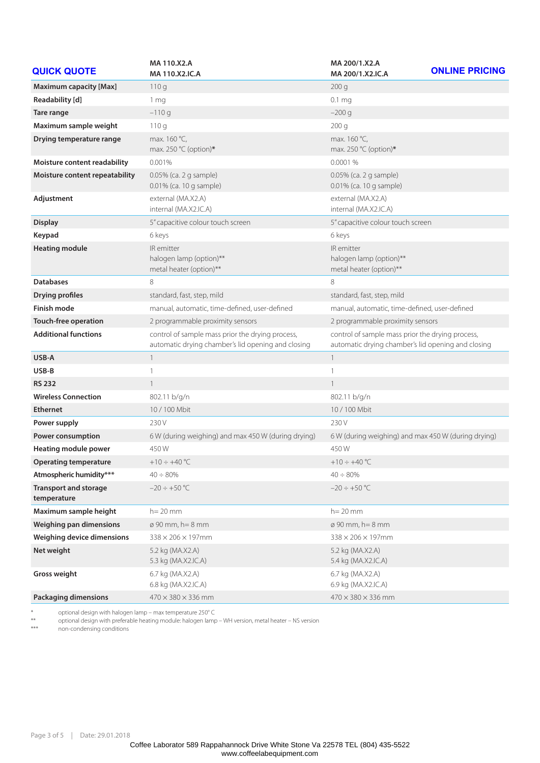| <b>QUICK QUOTE</b>                          | MA 110.X2.A<br>MA 110.X2.IC.A                                                                          | MA 200/1.X2.A<br>MA 200/1.X2.IC.A                                                                      | <b>ONLINE PRICING</b> |
|---------------------------------------------|--------------------------------------------------------------------------------------------------------|--------------------------------------------------------------------------------------------------------|-----------------------|
| <b>Maximum capacity [Max]</b>               | 110q                                                                                                   | 200q                                                                                                   |                       |
| Readability [d]                             | 1 mg                                                                                                   | 0.1 <sub>mg</sub>                                                                                      |                       |
| Tare range                                  | $-110q$                                                                                                | $-200$ g                                                                                               |                       |
| Maximum sample weight                       | 110q                                                                                                   | 200 <sub>g</sub>                                                                                       |                       |
| Drying temperature range                    | max. 160 °C,<br>max. 250 °C (option)*                                                                  | max. 160 °C,<br>max. 250 °C (option)*                                                                  |                       |
| Moisture content readability                | 0.001%                                                                                                 | 0.0001 %                                                                                               |                       |
| Moisture content repeatability              | 0.05% (ca. 2 g sample)<br>0.01% (ca. 10 g sample)                                                      | 0.05% (ca. 2 g sample)<br>0.01% (ca. 10 g sample)                                                      |                       |
| Adjustment                                  | external (MA.X2.A)<br>internal (MA.X2.IC.A)                                                            | external (MA.X2.A)<br>internal (MA.X2.IC.A)                                                            |                       |
| <b>Display</b>                              | 5" capacitive colour touch screen                                                                      | 5" capacitive colour touch screen                                                                      |                       |
| Keypad                                      | 6 keys                                                                                                 | 6 keys                                                                                                 |                       |
| <b>Heating module</b>                       | IR emitter<br>halogen lamp (option)**<br>metal heater (option)**                                       | IR emitter<br>halogen lamp (option)**<br>metal heater (option)**                                       |                       |
| <b>Databases</b>                            | 8                                                                                                      | 8                                                                                                      |                       |
| <b>Drying profiles</b>                      | standard, fast, step, mild                                                                             | standard, fast, step, mild                                                                             |                       |
| <b>Finish mode</b>                          | manual, automatic, time-defined, user-defined                                                          | manual, automatic, time-defined, user-defined                                                          |                       |
| Touch-free operation                        | 2 programmable proximity sensors                                                                       | 2 programmable proximity sensors                                                                       |                       |
| <b>Additional functions</b>                 | control of sample mass prior the drying process,<br>automatic drying chamber's lid opening and closing | control of sample mass prior the drying process,<br>automatic drying chamber's lid opening and closing |                       |
| USB-A                                       | $\mathbf{1}$                                                                                           | $\mathbf{1}$                                                                                           |                       |
| USB-B                                       | $\mathbf{1}$                                                                                           | $\mathbf{1}$                                                                                           |                       |
| <b>RS 232</b>                               | $\mathbf{1}$                                                                                           | $\mathbf{1}$                                                                                           |                       |
| <b>Wireless Connection</b>                  | 802.11 b/g/n                                                                                           | 802.11 b/g/n                                                                                           |                       |
| <b>Ethernet</b>                             | 10 / 100 Mbit                                                                                          | 10 / 100 Mbit                                                                                          |                       |
| Power supply                                | 230 V                                                                                                  | 230 V                                                                                                  |                       |
| <b>Power consumption</b>                    | 6 W (during weighing) and max 450 W (during drying)                                                    | 6 W (during weighing) and max 450 W (during drying)                                                    |                       |
| <b>Heating module power</b>                 | 450W                                                                                                   | 450W                                                                                                   |                       |
| Operating temperature                       | $+10 \div +40$ °C                                                                                      | +10 $\div$ +40 °C                                                                                      |                       |
| Atmospheric humidity***                     | $40 \div 80\%$                                                                                         | $40 \div 80\%$                                                                                         |                       |
| <b>Transport and storage</b><br>temperature | $-20 \div +50$ °C                                                                                      | $-20 \div +50$ °C                                                                                      |                       |
| Maximum sample height                       | $h = 20$ mm                                                                                            | $h = 20$ mm                                                                                            |                       |
| <b>Weighing pan dimensions</b>              | $\varnothing$ 90 mm, h = 8 mm                                                                          | $\varnothing$ 90 mm, h = 8 mm                                                                          |                       |
| Weighing device dimensions                  | $338 \times 206 \times 197$ mm                                                                         | 338 × 206 × 197mm                                                                                      |                       |
| Net weight                                  | 5.2 kg (MA.X2.A)<br>5.3 kg (MA.X2.IC.A)                                                                | 5.2 kg (MA.X2.A)<br>5.4 kg (MA.X2.IC.A)                                                                |                       |
| <b>Gross weight</b>                         | 6.7 kg (MA.X2.A)<br>6.8 kg (MA.X2.IC.A)                                                                | 6.7 kg (MA.X2.A)<br>6.9 kg (MA.X2.IC.A)                                                                |                       |
| <b>Packaging dimensions</b>                 | $470 \times 380 \times 336$ mm                                                                         | 470 × 380 × 336 mm                                                                                     |                       |

\* optional design with halogen lamp – max temperature 250° C

\*\* optional design with preferable heating module: halogen lamp – WH version, metal heater – NS version

\*\*\* non-condensing conditions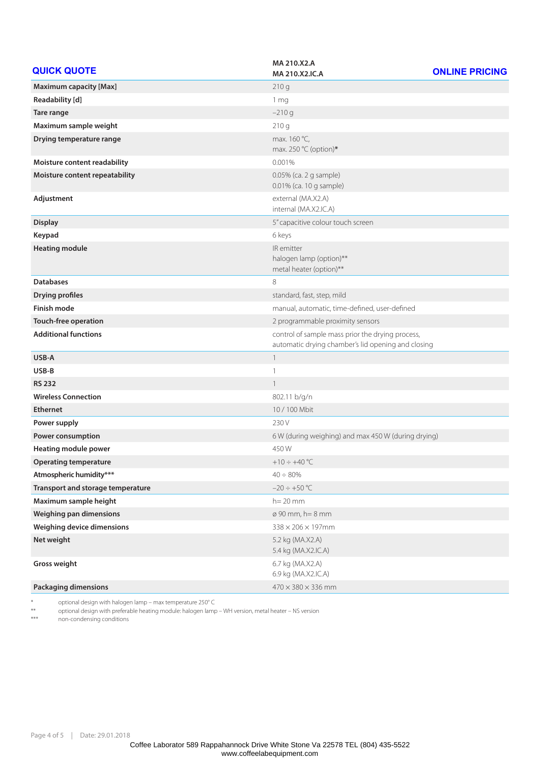| <b>QUICK QUOTE</b>                | MA 210.X2.A                                                                                            | <b>ONLINE PRICING</b> |
|-----------------------------------|--------------------------------------------------------------------------------------------------------|-----------------------|
|                                   | MA 210.X2.IC.A                                                                                         |                       |
| <b>Maximum capacity [Max]</b>     | 210q                                                                                                   |                       |
| Readability [d]                   | 1 <sub>mg</sub>                                                                                        |                       |
| Tare range                        | $-210g$                                                                                                |                       |
| Maximum sample weight             | 210 g                                                                                                  |                       |
| Drying temperature range          | max. 160 °C,<br>max. 250 °C (option)*                                                                  |                       |
| Moisture content readability      | 0.001%                                                                                                 |                       |
| Moisture content repeatability    | 0.05% (ca. 2 g sample)<br>0.01% (ca. 10 g sample)                                                      |                       |
| Adjustment                        | external (MA.X2.A)<br>internal (MA.X2.IC.A)                                                            |                       |
| <b>Display</b>                    | 5" capacitive colour touch screen                                                                      |                       |
| Keypad                            | 6 keys                                                                                                 |                       |
| <b>Heating module</b>             | IR emitter<br>halogen lamp (option)**<br>metal heater (option)**                                       |                       |
| <b>Databases</b>                  | 8                                                                                                      |                       |
| <b>Drying profiles</b>            | standard, fast, step, mild                                                                             |                       |
| <b>Finish mode</b>                | manual, automatic, time-defined, user-defined                                                          |                       |
| <b>Touch-free operation</b>       | 2 programmable proximity sensors                                                                       |                       |
| <b>Additional functions</b>       | control of sample mass prior the drying process,<br>automatic drying chamber's lid opening and closing |                       |
| USB-A                             | $\mathbf{1}$                                                                                           |                       |
| USB-B                             | 1                                                                                                      |                       |
| <b>RS 232</b>                     | $\mathbf{1}$                                                                                           |                       |
| <b>Wireless Connection</b>        | 802.11 b/g/n                                                                                           |                       |
| <b>Ethernet</b>                   | 10 / 100 Mbit                                                                                          |                       |
| Power supply                      | 230 V                                                                                                  |                       |
| Power consumption                 | 6 W (during weighing) and max 450 W (during drying)                                                    |                       |
| Heating module power              | 450W                                                                                                   |                       |
| <b>Operating temperature</b>      | +10 $\div$ +40 °C                                                                                      |                       |
| Atmospheric humidity***           | $40 \div 80\%$                                                                                         |                       |
| Transport and storage temperature | $-20 \div +50$ °C                                                                                      |                       |
| Maximum sample height             | h= 20 mm                                                                                               |                       |
| Weighing pan dimensions           | ø 90 mm, h = 8 mm                                                                                      |                       |
| Weighing device dimensions        | $338 \times 206 \times 197$ mm                                                                         |                       |
| Net weight                        | 5.2 kg (MA.X2.A)<br>5.4 kg (MA.X2.IC.A)                                                                |                       |
| Gross weight                      | 6.7 kg (MA.X2.A)<br>6.9 kg (MA.X2.IC.A)                                                                |                       |
| <b>Packaging dimensions</b>       | $470 \times 380 \times 336$ mm                                                                         |                       |

\* optional design with halogen lamp – max temperature 250° C

\*\* optional design with preferable heating module: halogen lamp – WH version, metal heater – NS version

\*\*\* non-condensing conditions